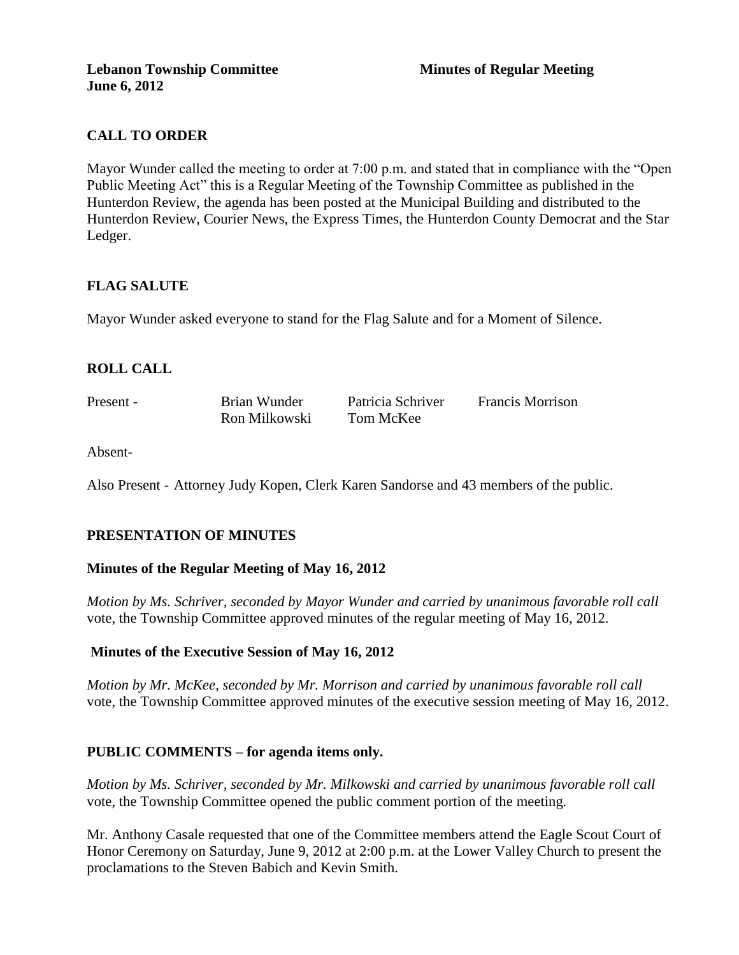# **CALL TO ORDER**

Mayor Wunder called the meeting to order at 7:00 p.m. and stated that in compliance with the "Open Public Meeting Act" this is a Regular Meeting of the Township Committee as published in the Hunterdon Review, the agenda has been posted at the Municipal Building and distributed to the Hunterdon Review, Courier News, the Express Times, the Hunterdon County Democrat and the Star Ledger.

## **FLAG SALUTE**

Mayor Wunder asked everyone to stand for the Flag Salute and for a Moment of Silence.

## **ROLL CALL**

Present - Brian Wunder Patricia Schriver Francis Morrison Ron Milkowski Tom McKee

Absent-

Also Present - Attorney Judy Kopen, Clerk Karen Sandorse and 43 members of the public.

## **PRESENTATION OF MINUTES**

#### **Minutes of the Regular Meeting of May 16, 2012**

*Motion by Ms. Schriver, seconded by Mayor Wunder and carried by unanimous favorable roll call*  vote, the Township Committee approved minutes of the regular meeting of May 16, 2012.

#### **Minutes of the Executive Session of May 16, 2012**

*Motion by Mr. McKee, seconded by Mr. Morrison and carried by unanimous favorable roll call*  vote, the Township Committee approved minutes of the executive session meeting of May 16, 2012.

#### **PUBLIC COMMENTS – for agenda items only.**

*Motion by Ms. Schriver, seconded by Mr. Milkowski and carried by unanimous favorable roll call*  vote*,* the Township Committee opened the public comment portion of the meeting.

Mr. Anthony Casale requested that one of the Committee members attend the Eagle Scout Court of Honor Ceremony on Saturday, June 9, 2012 at 2:00 p.m. at the Lower Valley Church to present the proclamations to the Steven Babich and Kevin Smith.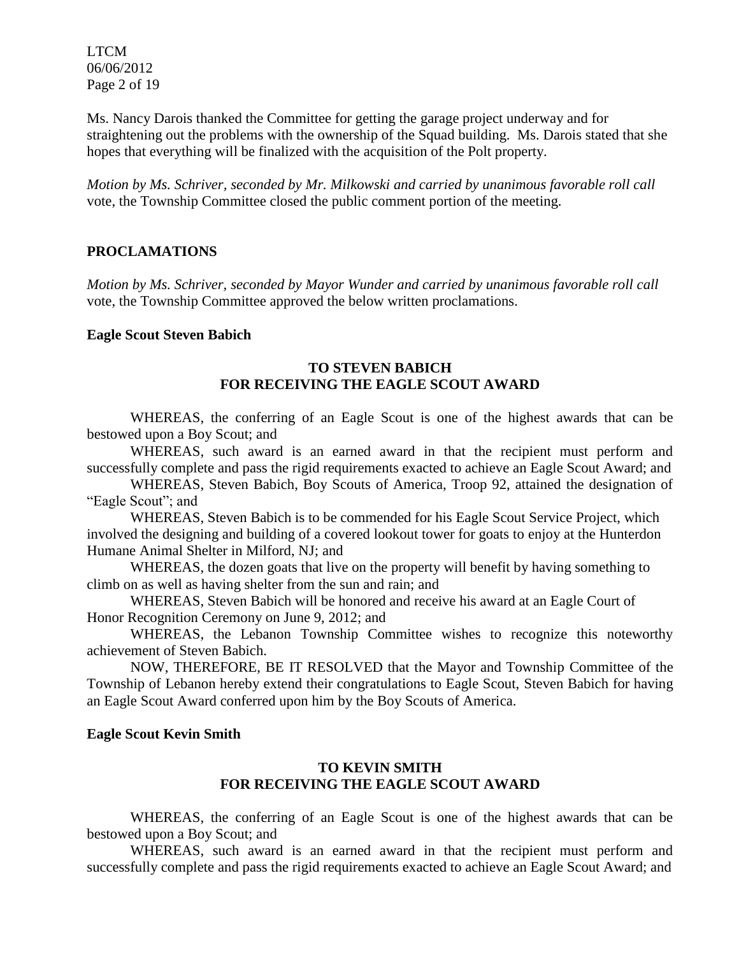LTCM 06/06/2012 Page 2 of 19

Ms. Nancy Darois thanked the Committee for getting the garage project underway and for straightening out the problems with the ownership of the Squad building. Ms. Darois stated that she hopes that everything will be finalized with the acquisition of the Polt property.

*Motion by Ms. Schriver, seconded by Mr. Milkowski and carried by unanimous favorable roll call*  vote, the Township Committee closed the public comment portion of the meeting.

### **PROCLAMATIONS**

*Motion by Ms. Schriver, seconded by Mayor Wunder and carried by unanimous favorable roll call*  vote, the Township Committee approved the below written proclamations.

#### **Eagle Scout Steven Babich**

### **TO STEVEN BABICH FOR RECEIVING THE EAGLE SCOUT AWARD**

WHEREAS, the conferring of an Eagle Scout is one of the highest awards that can be bestowed upon a Boy Scout; and

WHEREAS, such award is an earned award in that the recipient must perform and successfully complete and pass the rigid requirements exacted to achieve an Eagle Scout Award; and

WHEREAS, Steven Babich, Boy Scouts of America, Troop 92, attained the designation of "Eagle Scout"; and

WHEREAS, Steven Babich is to be commended for his Eagle Scout Service Project, which involved the designing and building of a covered lookout tower for goats to enjoy at the Hunterdon Humane Animal Shelter in Milford, NJ; and

WHEREAS, the dozen goats that live on the property will benefit by having something to climb on as well as having shelter from the sun and rain; and

WHEREAS, Steven Babich will be honored and receive his award at an Eagle Court of Honor Recognition Ceremony on June 9, 2012; and

WHEREAS, the Lebanon Township Committee wishes to recognize this noteworthy achievement of Steven Babich.

NOW, THEREFORE, BE IT RESOLVED that the Mayor and Township Committee of the Township of Lebanon hereby extend their congratulations to Eagle Scout, Steven Babich for having an Eagle Scout Award conferred upon him by the Boy Scouts of America.

#### **Eagle Scout Kevin Smith**

#### **TO KEVIN SMITH FOR RECEIVING THE EAGLE SCOUT AWARD**

WHEREAS, the conferring of an Eagle Scout is one of the highest awards that can be bestowed upon a Boy Scout; and

WHEREAS, such award is an earned award in that the recipient must perform and successfully complete and pass the rigid requirements exacted to achieve an Eagle Scout Award; and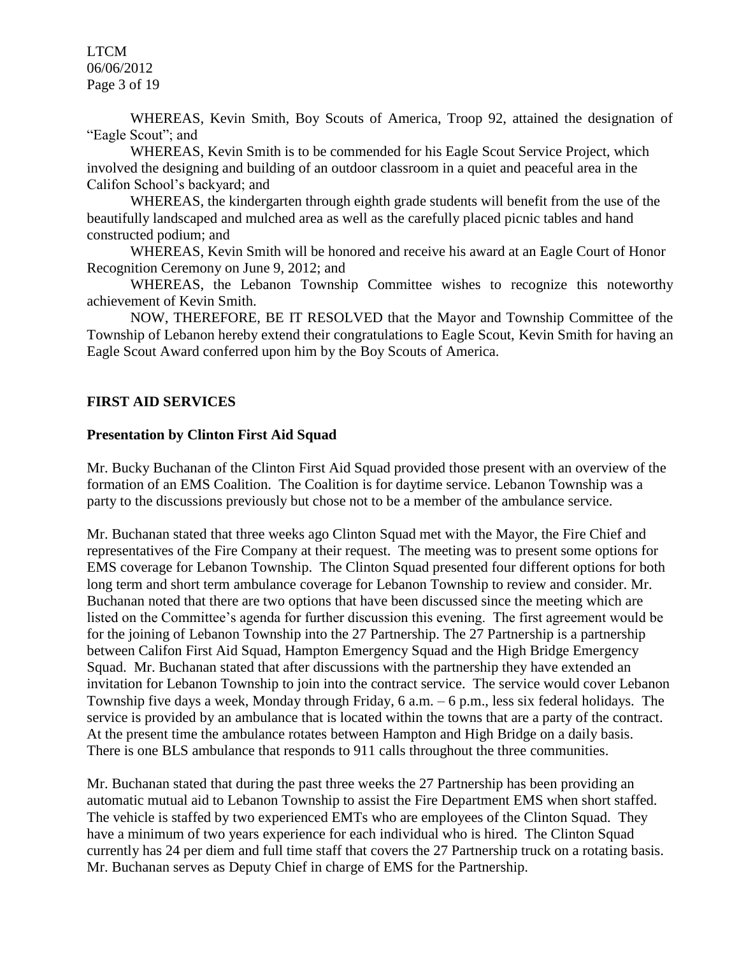LTCM 06/06/2012 Page 3 of 19

WHEREAS, Kevin Smith, Boy Scouts of America, Troop 92, attained the designation of "Eagle Scout"; and

WHEREAS, Kevin Smith is to be commended for his Eagle Scout Service Project, which involved the designing and building of an outdoor classroom in a quiet and peaceful area in the Califon School's backyard; and

WHEREAS, the kindergarten through eighth grade students will benefit from the use of the beautifully landscaped and mulched area as well as the carefully placed picnic tables and hand constructed podium; and

WHEREAS, Kevin Smith will be honored and receive his award at an Eagle Court of Honor Recognition Ceremony on June 9, 2012; and

WHEREAS, the Lebanon Township Committee wishes to recognize this noteworthy achievement of Kevin Smith.

NOW, THEREFORE, BE IT RESOLVED that the Mayor and Township Committee of the Township of Lebanon hereby extend their congratulations to Eagle Scout, Kevin Smith for having an Eagle Scout Award conferred upon him by the Boy Scouts of America.

## **FIRST AID SERVICES**

#### **Presentation by Clinton First Aid Squad**

Mr. Bucky Buchanan of the Clinton First Aid Squad provided those present with an overview of the formation of an EMS Coalition. The Coalition is for daytime service. Lebanon Township was a party to the discussions previously but chose not to be a member of the ambulance service.

Mr. Buchanan stated that three weeks ago Clinton Squad met with the Mayor, the Fire Chief and representatives of the Fire Company at their request. The meeting was to present some options for EMS coverage for Lebanon Township. The Clinton Squad presented four different options for both long term and short term ambulance coverage for Lebanon Township to review and consider. Mr. Buchanan noted that there are two options that have been discussed since the meeting which are listed on the Committee's agenda for further discussion this evening. The first agreement would be for the joining of Lebanon Township into the 27 Partnership. The 27 Partnership is a partnership between Califon First Aid Squad, Hampton Emergency Squad and the High Bridge Emergency Squad. Mr. Buchanan stated that after discussions with the partnership they have extended an invitation for Lebanon Township to join into the contract service. The service would cover Lebanon Township five days a week, Monday through Friday, 6 a.m. – 6 p.m., less six federal holidays. The service is provided by an ambulance that is located within the towns that are a party of the contract. At the present time the ambulance rotates between Hampton and High Bridge on a daily basis. There is one BLS ambulance that responds to 911 calls throughout the three communities.

Mr. Buchanan stated that during the past three weeks the 27 Partnership has been providing an automatic mutual aid to Lebanon Township to assist the Fire Department EMS when short staffed. The vehicle is staffed by two experienced EMTs who are employees of the Clinton Squad. They have a minimum of two years experience for each individual who is hired. The Clinton Squad currently has 24 per diem and full time staff that covers the 27 Partnership truck on a rotating basis. Mr. Buchanan serves as Deputy Chief in charge of EMS for the Partnership.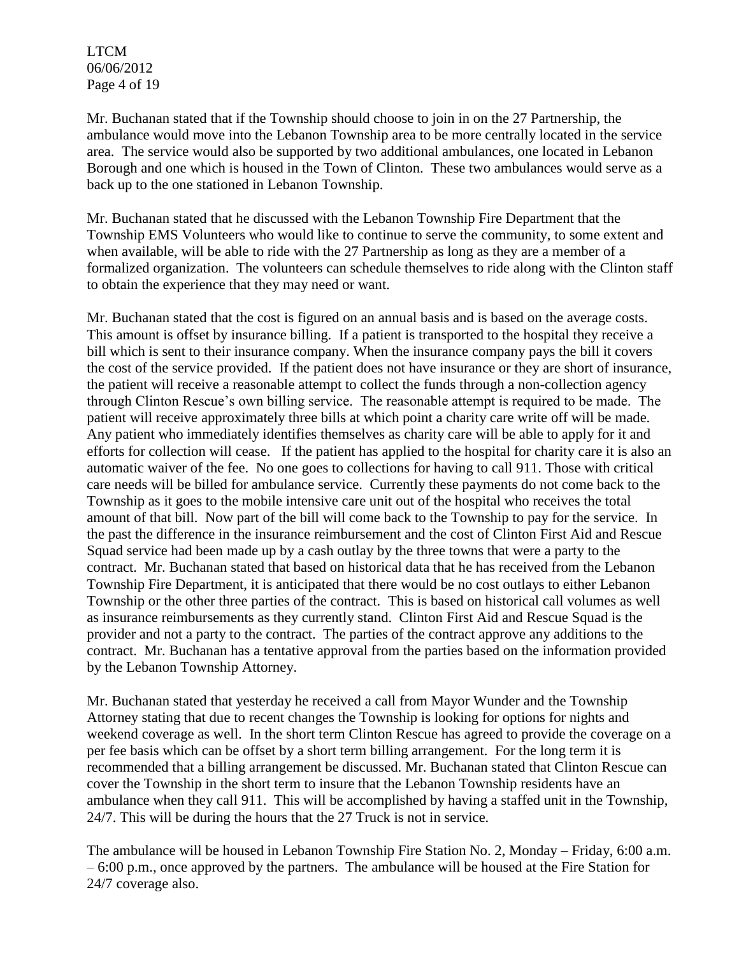LTCM 06/06/2012 Page 4 of 19

Mr. Buchanan stated that if the Township should choose to join in on the 27 Partnership, the ambulance would move into the Lebanon Township area to be more centrally located in the service area. The service would also be supported by two additional ambulances, one located in Lebanon Borough and one which is housed in the Town of Clinton. These two ambulances would serve as a back up to the one stationed in Lebanon Township.

Mr. Buchanan stated that he discussed with the Lebanon Township Fire Department that the Township EMS Volunteers who would like to continue to serve the community, to some extent and when available, will be able to ride with the 27 Partnership as long as they are a member of a formalized organization. The volunteers can schedule themselves to ride along with the Clinton staff to obtain the experience that they may need or want.

Mr. Buchanan stated that the cost is figured on an annual basis and is based on the average costs. This amount is offset by insurance billing. If a patient is transported to the hospital they receive a bill which is sent to their insurance company. When the insurance company pays the bill it covers the cost of the service provided. If the patient does not have insurance or they are short of insurance, the patient will receive a reasonable attempt to collect the funds through a non-collection agency through Clinton Rescue's own billing service. The reasonable attempt is required to be made. The patient will receive approximately three bills at which point a charity care write off will be made. Any patient who immediately identifies themselves as charity care will be able to apply for it and efforts for collection will cease. If the patient has applied to the hospital for charity care it is also an automatic waiver of the fee. No one goes to collections for having to call 911. Those with critical care needs will be billed for ambulance service. Currently these payments do not come back to the Township as it goes to the mobile intensive care unit out of the hospital who receives the total amount of that bill. Now part of the bill will come back to the Township to pay for the service. In the past the difference in the insurance reimbursement and the cost of Clinton First Aid and Rescue Squad service had been made up by a cash outlay by the three towns that were a party to the contract. Mr. Buchanan stated that based on historical data that he has received from the Lebanon Township Fire Department, it is anticipated that there would be no cost outlays to either Lebanon Township or the other three parties of the contract. This is based on historical call volumes as well as insurance reimbursements as they currently stand. Clinton First Aid and Rescue Squad is the provider and not a party to the contract. The parties of the contract approve any additions to the contract. Mr. Buchanan has a tentative approval from the parties based on the information provided by the Lebanon Township Attorney.

Mr. Buchanan stated that yesterday he received a call from Mayor Wunder and the Township Attorney stating that due to recent changes the Township is looking for options for nights and weekend coverage as well. In the short term Clinton Rescue has agreed to provide the coverage on a per fee basis which can be offset by a short term billing arrangement. For the long term it is recommended that a billing arrangement be discussed. Mr. Buchanan stated that Clinton Rescue can cover the Township in the short term to insure that the Lebanon Township residents have an ambulance when they call 911. This will be accomplished by having a staffed unit in the Township, 24/7. This will be during the hours that the 27 Truck is not in service.

The ambulance will be housed in Lebanon Township Fire Station No. 2, Monday – Friday, 6:00 a.m. – 6:00 p.m., once approved by the partners. The ambulance will be housed at the Fire Station for 24/7 coverage also.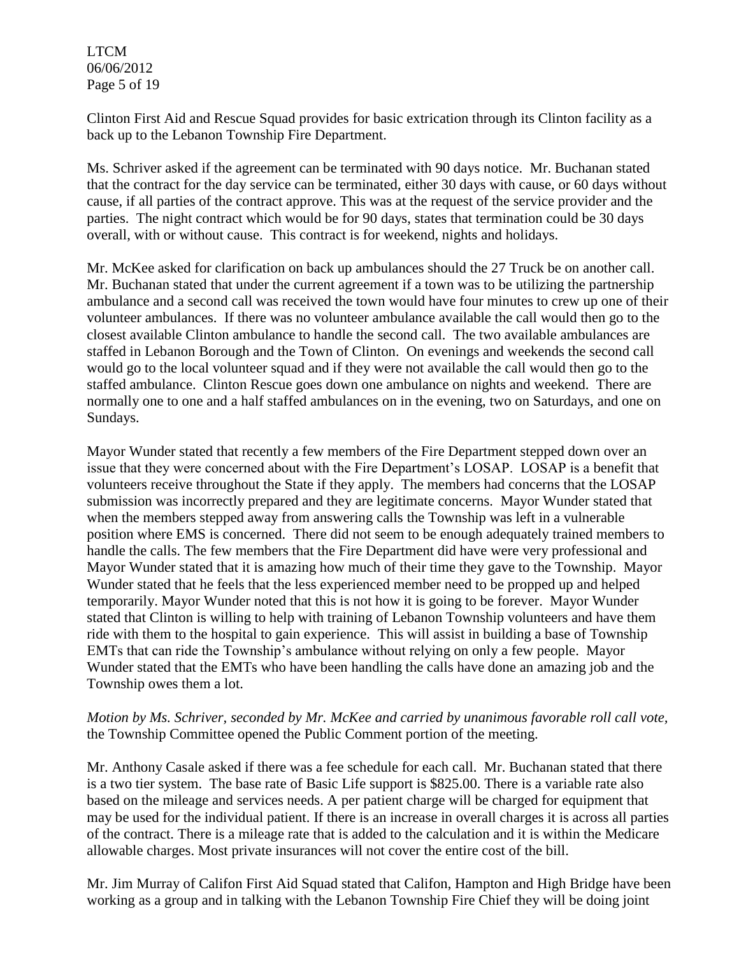LTCM 06/06/2012 Page 5 of 19

Clinton First Aid and Rescue Squad provides for basic extrication through its Clinton facility as a back up to the Lebanon Township Fire Department.

Ms. Schriver asked if the agreement can be terminated with 90 days notice. Mr. Buchanan stated that the contract for the day service can be terminated, either 30 days with cause, or 60 days without cause, if all parties of the contract approve. This was at the request of the service provider and the parties. The night contract which would be for 90 days, states that termination could be 30 days overall, with or without cause. This contract is for weekend, nights and holidays.

Mr. McKee asked for clarification on back up ambulances should the 27 Truck be on another call. Mr. Buchanan stated that under the current agreement if a town was to be utilizing the partnership ambulance and a second call was received the town would have four minutes to crew up one of their volunteer ambulances. If there was no volunteer ambulance available the call would then go to the closest available Clinton ambulance to handle the second call. The two available ambulances are staffed in Lebanon Borough and the Town of Clinton. On evenings and weekends the second call would go to the local volunteer squad and if they were not available the call would then go to the staffed ambulance. Clinton Rescue goes down one ambulance on nights and weekend. There are normally one to one and a half staffed ambulances on in the evening, two on Saturdays, and one on Sundays.

Mayor Wunder stated that recently a few members of the Fire Department stepped down over an issue that they were concerned about with the Fire Department's LOSAP. LOSAP is a benefit that volunteers receive throughout the State if they apply. The members had concerns that the LOSAP submission was incorrectly prepared and they are legitimate concerns. Mayor Wunder stated that when the members stepped away from answering calls the Township was left in a vulnerable position where EMS is concerned. There did not seem to be enough adequately trained members to handle the calls. The few members that the Fire Department did have were very professional and Mayor Wunder stated that it is amazing how much of their time they gave to the Township. Mayor Wunder stated that he feels that the less experienced member need to be propped up and helped temporarily. Mayor Wunder noted that this is not how it is going to be forever. Mayor Wunder stated that Clinton is willing to help with training of Lebanon Township volunteers and have them ride with them to the hospital to gain experience. This will assist in building a base of Township EMTs that can ride the Township's ambulance without relying on only a few people. Mayor Wunder stated that the EMTs who have been handling the calls have done an amazing job and the Township owes them a lot.

## *Motion by Ms. Schriver, seconded by Mr. McKee and carried by unanimous favorable roll call vote,* the Township Committee opened the Public Comment portion of the meeting.

Mr. Anthony Casale asked if there was a fee schedule for each call. Mr. Buchanan stated that there is a two tier system. The base rate of Basic Life support is \$825.00. There is a variable rate also based on the mileage and services needs. A per patient charge will be charged for equipment that may be used for the individual patient. If there is an increase in overall charges it is across all parties of the contract. There is a mileage rate that is added to the calculation and it is within the Medicare allowable charges. Most private insurances will not cover the entire cost of the bill.

Mr. Jim Murray of Califon First Aid Squad stated that Califon, Hampton and High Bridge have been working as a group and in talking with the Lebanon Township Fire Chief they will be doing joint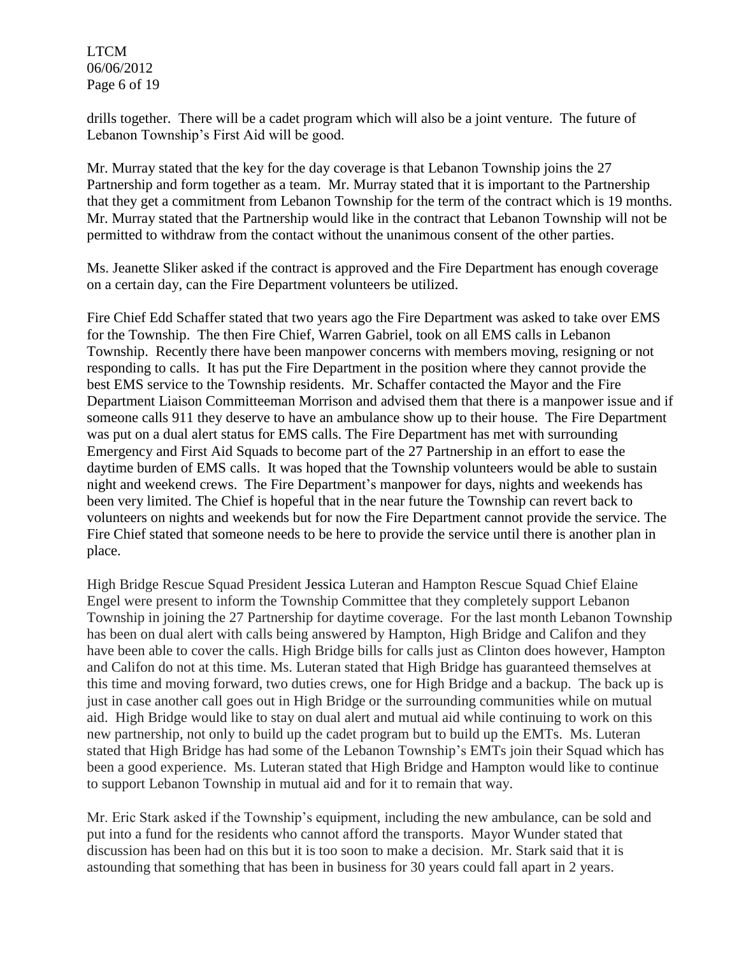LTCM 06/06/2012 Page 6 of 19

drills together. There will be a cadet program which will also be a joint venture. The future of Lebanon Township's First Aid will be good.

Mr. Murray stated that the key for the day coverage is that Lebanon Township joins the 27 Partnership and form together as a team. Mr. Murray stated that it is important to the Partnership that they get a commitment from Lebanon Township for the term of the contract which is 19 months. Mr. Murray stated that the Partnership would like in the contract that Lebanon Township will not be permitted to withdraw from the contact without the unanimous consent of the other parties.

Ms. Jeanette Sliker asked if the contract is approved and the Fire Department has enough coverage on a certain day, can the Fire Department volunteers be utilized.

Fire Chief Edd Schaffer stated that two years ago the Fire Department was asked to take over EMS for the Township. The then Fire Chief, Warren Gabriel, took on all EMS calls in Lebanon Township. Recently there have been manpower concerns with members moving, resigning or not responding to calls. It has put the Fire Department in the position where they cannot provide the best EMS service to the Township residents. Mr. Schaffer contacted the Mayor and the Fire Department Liaison Committeeman Morrison and advised them that there is a manpower issue and if someone calls 911 they deserve to have an ambulance show up to their house. The Fire Department was put on a dual alert status for EMS calls. The Fire Department has met with surrounding Emergency and First Aid Squads to become part of the 27 Partnership in an effort to ease the daytime burden of EMS calls. It was hoped that the Township volunteers would be able to sustain night and weekend crews. The Fire Department's manpower for days, nights and weekends has been very limited. The Chief is hopeful that in the near future the Township can revert back to volunteers on nights and weekends but for now the Fire Department cannot provide the service. The Fire Chief stated that someone needs to be here to provide the service until there is another plan in place.

High Bridge Rescue Squad President Jessica Luteran and Hampton Rescue Squad Chief Elaine Engel were present to inform the Township Committee that they completely support Lebanon Township in joining the 27 Partnership for daytime coverage. For the last month Lebanon Township has been on dual alert with calls being answered by Hampton, High Bridge and Califon and they have been able to cover the calls. High Bridge bills for calls just as Clinton does however, Hampton and Califon do not at this time. Ms. Luteran stated that High Bridge has guaranteed themselves at this time and moving forward, two duties crews, one for High Bridge and a backup. The back up is just in case another call goes out in High Bridge or the surrounding communities while on mutual aid. High Bridge would like to stay on dual alert and mutual aid while continuing to work on this new partnership, not only to build up the cadet program but to build up the EMTs. Ms. Luteran stated that High Bridge has had some of the Lebanon Township's EMTs join their Squad which has been a good experience. Ms. Luteran stated that High Bridge and Hampton would like to continue to support Lebanon Township in mutual aid and for it to remain that way.

Mr. Eric Stark asked if the Township's equipment, including the new ambulance, can be sold and put into a fund for the residents who cannot afford the transports. Mayor Wunder stated that discussion has been had on this but it is too soon to make a decision. Mr. Stark said that it is astounding that something that has been in business for 30 years could fall apart in 2 years.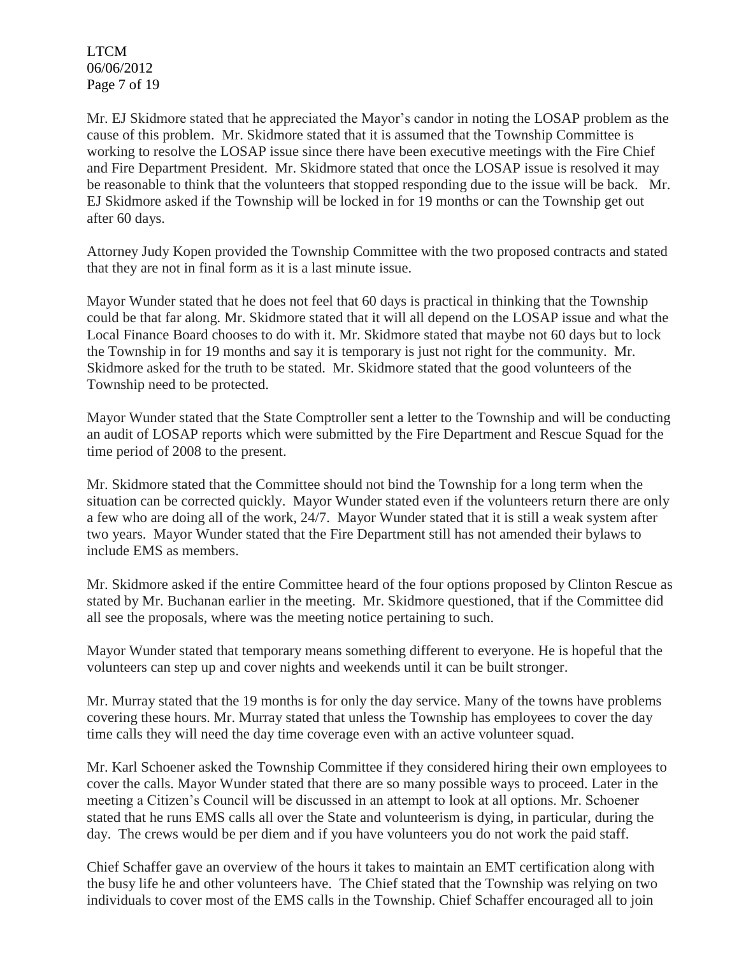LTCM 06/06/2012 Page 7 of 19

Mr. EJ Skidmore stated that he appreciated the Mayor's candor in noting the LOSAP problem as the cause of this problem. Mr. Skidmore stated that it is assumed that the Township Committee is working to resolve the LOSAP issue since there have been executive meetings with the Fire Chief and Fire Department President. Mr. Skidmore stated that once the LOSAP issue is resolved it may be reasonable to think that the volunteers that stopped responding due to the issue will be back. Mr. EJ Skidmore asked if the Township will be locked in for 19 months or can the Township get out after 60 days.

Attorney Judy Kopen provided the Township Committee with the two proposed contracts and stated that they are not in final form as it is a last minute issue.

Mayor Wunder stated that he does not feel that 60 days is practical in thinking that the Township could be that far along. Mr. Skidmore stated that it will all depend on the LOSAP issue and what the Local Finance Board chooses to do with it. Mr. Skidmore stated that maybe not 60 days but to lock the Township in for 19 months and say it is temporary is just not right for the community. Mr. Skidmore asked for the truth to be stated. Mr. Skidmore stated that the good volunteers of the Township need to be protected.

Mayor Wunder stated that the State Comptroller sent a letter to the Township and will be conducting an audit of LOSAP reports which were submitted by the Fire Department and Rescue Squad for the time period of 2008 to the present.

Mr. Skidmore stated that the Committee should not bind the Township for a long term when the situation can be corrected quickly. Mayor Wunder stated even if the volunteers return there are only a few who are doing all of the work, 24/7. Mayor Wunder stated that it is still a weak system after two years. Mayor Wunder stated that the Fire Department still has not amended their bylaws to include EMS as members.

Mr. Skidmore asked if the entire Committee heard of the four options proposed by Clinton Rescue as stated by Mr. Buchanan earlier in the meeting. Mr. Skidmore questioned, that if the Committee did all see the proposals, where was the meeting notice pertaining to such.

Mayor Wunder stated that temporary means something different to everyone. He is hopeful that the volunteers can step up and cover nights and weekends until it can be built stronger.

Mr. Murray stated that the 19 months is for only the day service. Many of the towns have problems covering these hours. Mr. Murray stated that unless the Township has employees to cover the day time calls they will need the day time coverage even with an active volunteer squad.

Mr. Karl Schoener asked the Township Committee if they considered hiring their own employees to cover the calls. Mayor Wunder stated that there are so many possible ways to proceed. Later in the meeting a Citizen's Council will be discussed in an attempt to look at all options. Mr. Schoener stated that he runs EMS calls all over the State and volunteerism is dying, in particular, during the day. The crews would be per diem and if you have volunteers you do not work the paid staff.

Chief Schaffer gave an overview of the hours it takes to maintain an EMT certification along with the busy life he and other volunteers have. The Chief stated that the Township was relying on two individuals to cover most of the EMS calls in the Township. Chief Schaffer encouraged all to join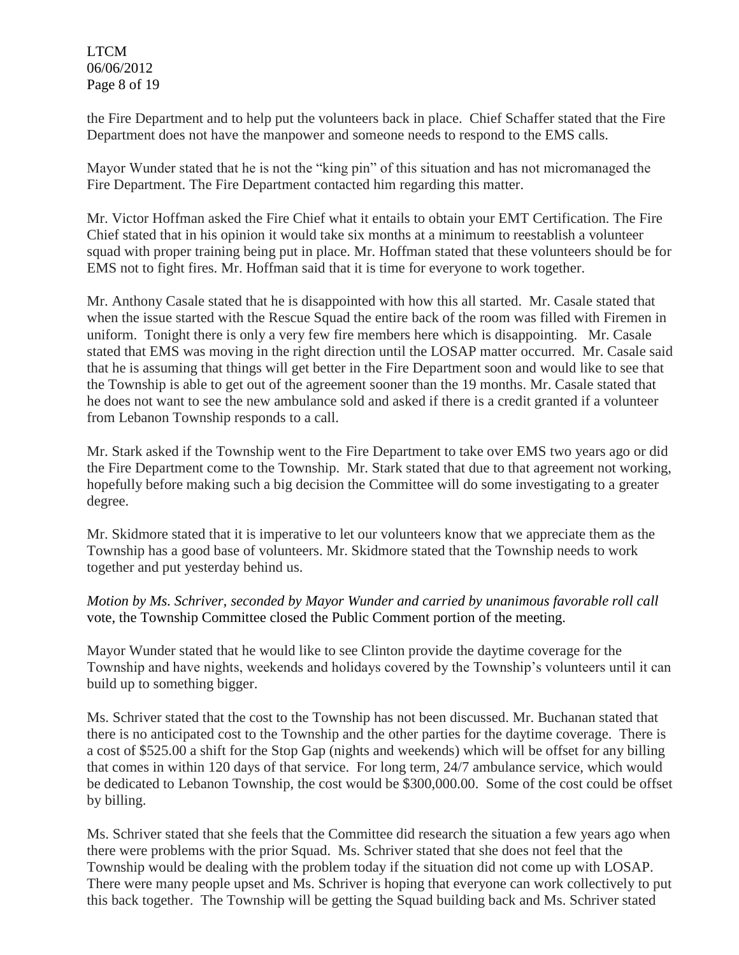LTCM 06/06/2012 Page 8 of 19

the Fire Department and to help put the volunteers back in place. Chief Schaffer stated that the Fire Department does not have the manpower and someone needs to respond to the EMS calls.

Mayor Wunder stated that he is not the "king pin" of this situation and has not micromanaged the Fire Department. The Fire Department contacted him regarding this matter.

Mr. Victor Hoffman asked the Fire Chief what it entails to obtain your EMT Certification. The Fire Chief stated that in his opinion it would take six months at a minimum to reestablish a volunteer squad with proper training being put in place. Mr. Hoffman stated that these volunteers should be for EMS not to fight fires. Mr. Hoffman said that it is time for everyone to work together.

Mr. Anthony Casale stated that he is disappointed with how this all started. Mr. Casale stated that when the issue started with the Rescue Squad the entire back of the room was filled with Firemen in uniform. Tonight there is only a very few fire members here which is disappointing. Mr. Casale stated that EMS was moving in the right direction until the LOSAP matter occurred. Mr. Casale said that he is assuming that things will get better in the Fire Department soon and would like to see that the Township is able to get out of the agreement sooner than the 19 months. Mr. Casale stated that he does not want to see the new ambulance sold and asked if there is a credit granted if a volunteer from Lebanon Township responds to a call.

Mr. Stark asked if the Township went to the Fire Department to take over EMS two years ago or did the Fire Department come to the Township. Mr. Stark stated that due to that agreement not working, hopefully before making such a big decision the Committee will do some investigating to a greater degree.

Mr. Skidmore stated that it is imperative to let our volunteers know that we appreciate them as the Township has a good base of volunteers. Mr. Skidmore stated that the Township needs to work together and put yesterday behind us.

*Motion by Ms. Schriver, seconded by Mayor Wunder and carried by unanimous favorable roll call*  vote, the Township Committee closed the Public Comment portion of the meeting.

Mayor Wunder stated that he would like to see Clinton provide the daytime coverage for the Township and have nights, weekends and holidays covered by the Township's volunteers until it can build up to something bigger.

Ms. Schriver stated that the cost to the Township has not been discussed. Mr. Buchanan stated that there is no anticipated cost to the Township and the other parties for the daytime coverage. There is a cost of \$525.00 a shift for the Stop Gap (nights and weekends) which will be offset for any billing that comes in within 120 days of that service. For long term, 24/7 ambulance service, which would be dedicated to Lebanon Township, the cost would be \$300,000.00. Some of the cost could be offset by billing.

Ms. Schriver stated that she feels that the Committee did research the situation a few years ago when there were problems with the prior Squad. Ms. Schriver stated that she does not feel that the Township would be dealing with the problem today if the situation did not come up with LOSAP. There were many people upset and Ms. Schriver is hoping that everyone can work collectively to put this back together. The Township will be getting the Squad building back and Ms. Schriver stated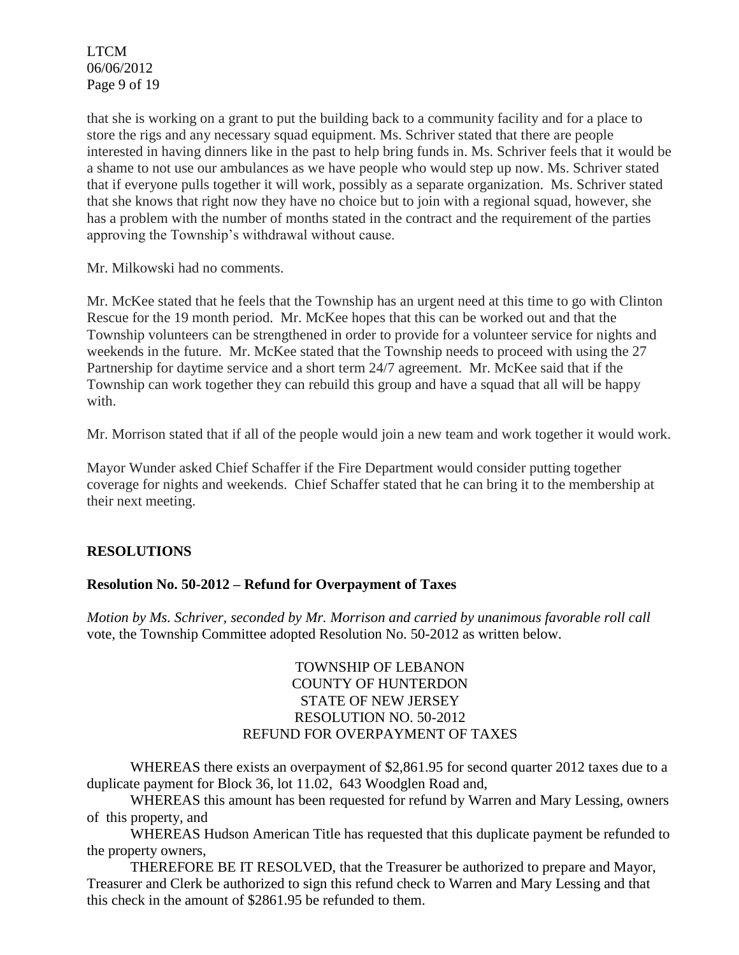LTCM 06/06/2012 Page 9 of 19

that she is working on a grant to put the building back to a community facility and for a place to store the rigs and any necessary squad equipment. Ms. Schriver stated that there are people interested in having dinners like in the past to help bring funds in. Ms. Schriver feels that it would be a shame to not use our ambulances as we have people who would step up now. Ms. Schriver stated that if everyone pulls together it will work, possibly as a separate organization. Ms. Schriver stated that she knows that right now they have no choice but to join with a regional squad, however, she has a problem with the number of months stated in the contract and the requirement of the parties approving the Township's withdrawal without cause.

Mr. Milkowski had no comments.

Mr. McKee stated that he feels that the Township has an urgent need at this time to go with Clinton Rescue for the 19 month period. Mr. McKee hopes that this can be worked out and that the Township volunteers can be strengthened in order to provide for a volunteer service for nights and weekends in the future. Mr. McKee stated that the Township needs to proceed with using the 27 Partnership for daytime service and a short term 24/7 agreement. Mr. McKee said that if the Township can work together they can rebuild this group and have a squad that all will be happy with.

Mr. Morrison stated that if all of the people would join a new team and work together it would work.

Mayor Wunder asked Chief Schaffer if the Fire Department would consider putting together coverage for nights and weekends. Chief Schaffer stated that he can bring it to the membership at their next meeting.

## **RESOLUTIONS**

#### **Resolution No. 50-2012 – Refund for Overpayment of Taxes**

*Motion by Ms. Schriver, seconded by Mr. Morrison and carried by unanimous favorable roll call*  vote, the Township Committee adopted Resolution No. 50-2012 as written below.

### TOWNSHIP OF LEBANON COUNTY OF HUNTERDON STATE OF NEW JERSEY RESOLUTION NO. 50-2012 REFUND FOR OVERPAYMENT OF TAXES

WHEREAS there exists an overpayment of \$2,861.95 for second quarter 2012 taxes due to a duplicate payment for Block 36, lot 11.02, 643 Woodglen Road and,

WHEREAS this amount has been requested for refund by Warren and Mary Lessing, owners of this property, and

WHEREAS Hudson American Title has requested that this duplicate payment be refunded to the property owners,

THEREFORE BE IT RESOLVED, that the Treasurer be authorized to prepare and Mayor, Treasurer and Clerk be authorized to sign this refund check to Warren and Mary Lessing and that this check in the amount of \$2861.95 be refunded to them.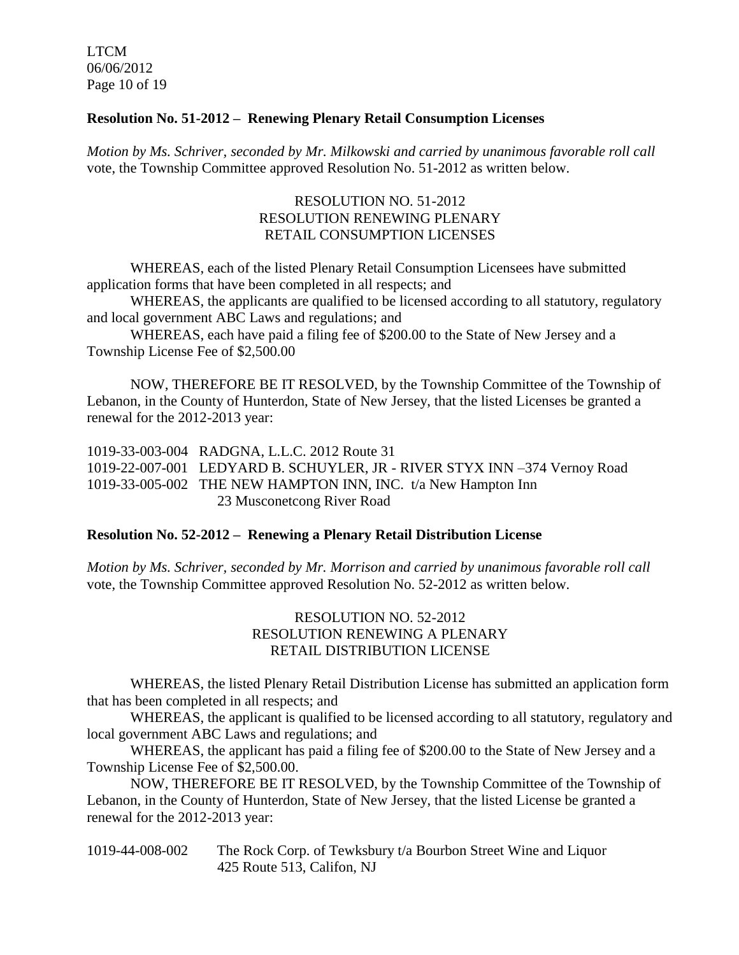LTCM 06/06/2012 Page 10 of 19

### **Resolution No. 51-2012 – Renewing Plenary Retail Consumption Licenses**

*Motion by Ms. Schriver, seconded by Mr. Milkowski and carried by unanimous favorable roll call*  vote, the Township Committee approved Resolution No. 51-2012 as written below.

### RESOLUTION NO. 51-2012 RESOLUTION RENEWING PLENARY RETAIL CONSUMPTION LICENSES

WHEREAS, each of the listed Plenary Retail Consumption Licensees have submitted application forms that have been completed in all respects; and

WHEREAS, the applicants are qualified to be licensed according to all statutory, regulatory and local government ABC Laws and regulations; and

WHEREAS, each have paid a filing fee of \$200.00 to the State of New Jersey and a Township License Fee of \$2,500.00

NOW, THEREFORE BE IT RESOLVED, by the Township Committee of the Township of Lebanon, in the County of Hunterdon, State of New Jersey, that the listed Licenses be granted a renewal for the 2012-2013 year:

1019-33-003-004 RADGNA, L.L.C. 2012 Route 31 1019-22-007-001 LEDYARD B. SCHUYLER, JR - RIVER STYX INN –374 Vernoy Road 1019-33-005-002 THE NEW HAMPTON INN, INC. t/a New Hampton Inn 23 Musconetcong River Road

#### **Resolution No. 52-2012 – Renewing a Plenary Retail Distribution License**

*Motion by Ms. Schriver, seconded by Mr. Morrison and carried by unanimous favorable roll call*  vote, the Township Committee approved Resolution No. 52-2012 as written below.

### RESOLUTION NO. 52-2012 RESOLUTION RENEWING A PLENARY RETAIL DISTRIBUTION LICENSE

WHEREAS, the listed Plenary Retail Distribution License has submitted an application form that has been completed in all respects; and

WHEREAS, the applicant is qualified to be licensed according to all statutory, regulatory and local government ABC Laws and regulations; and

WHEREAS, the applicant has paid a filing fee of \$200.00 to the State of New Jersey and a Township License Fee of \$2,500.00.

NOW, THEREFORE BE IT RESOLVED, by the Township Committee of the Township of Lebanon, in the County of Hunterdon, State of New Jersey, that the listed License be granted a renewal for the 2012-2013 year:

1019-44-008-002 The Rock Corp. of Tewksbury t/a Bourbon Street Wine and Liquor 425 Route 513, Califon, NJ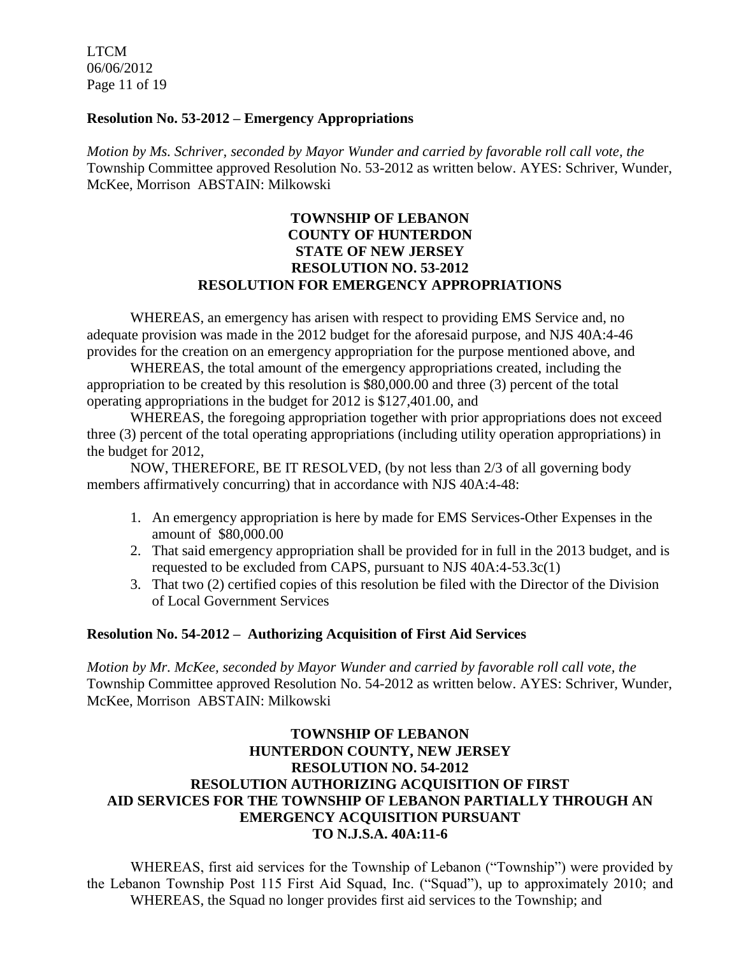LTCM 06/06/2012 Page 11 of 19

#### **Resolution No. 53-2012 – Emergency Appropriations**

*Motion by Ms. Schriver, seconded by Mayor Wunder and carried by favorable roll call vote, the* Township Committee approved Resolution No. 53-2012 as written below. AYES: Schriver, Wunder, McKee, Morrison ABSTAIN: Milkowski

### **TOWNSHIP OF LEBANON COUNTY OF HUNTERDON STATE OF NEW JERSEY RESOLUTION NO. 53-2012 RESOLUTION FOR EMERGENCY APPROPRIATIONS**

WHEREAS, an emergency has arisen with respect to providing EMS Service and, no adequate provision was made in the 2012 budget for the aforesaid purpose, and NJS 40A:4-46 provides for the creation on an emergency appropriation for the purpose mentioned above, and

WHEREAS, the total amount of the emergency appropriations created, including the appropriation to be created by this resolution is \$80,000.00 and three (3) percent of the total operating appropriations in the budget for 2012 is \$127,401.00, and

WHEREAS, the foregoing appropriation together with prior appropriations does not exceed three (3) percent of the total operating appropriations (including utility operation appropriations) in the budget for 2012,

NOW, THEREFORE, BE IT RESOLVED, (by not less than 2/3 of all governing body members affirmatively concurring) that in accordance with NJS 40A:4-48:

- 1. An emergency appropriation is here by made for EMS Services-Other Expenses in the amount of \$80,000.00
- 2. That said emergency appropriation shall be provided for in full in the 2013 budget, and is requested to be excluded from CAPS, pursuant to NJS 40A:4-53.3c(1)
- 3. That two (2) certified copies of this resolution be filed with the Director of the Division of Local Government Services

#### **Resolution No. 54-2012 – Authorizing Acquisition of First Aid Services**

*Motion by Mr. McKee, seconded by Mayor Wunder and carried by favorable roll call vote, the* Township Committee approved Resolution No. 54-2012 as written below. AYES: Schriver, Wunder, McKee, Morrison ABSTAIN: Milkowski

### **TOWNSHIP OF LEBANON HUNTERDON COUNTY, NEW JERSEY RESOLUTION NO. 54-2012 RESOLUTION AUTHORIZING ACQUISITION OF FIRST AID SERVICES FOR THE TOWNSHIP OF LEBANON PARTIALLY THROUGH AN EMERGENCY ACQUISITION PURSUANT TO N.J.S.A. 40A:11-6**

WHEREAS, first aid services for the Township of Lebanon ("Township") were provided by the Lebanon Township Post 115 First Aid Squad, Inc. ("Squad"), up to approximately 2010; and WHEREAS, the Squad no longer provides first aid services to the Township; and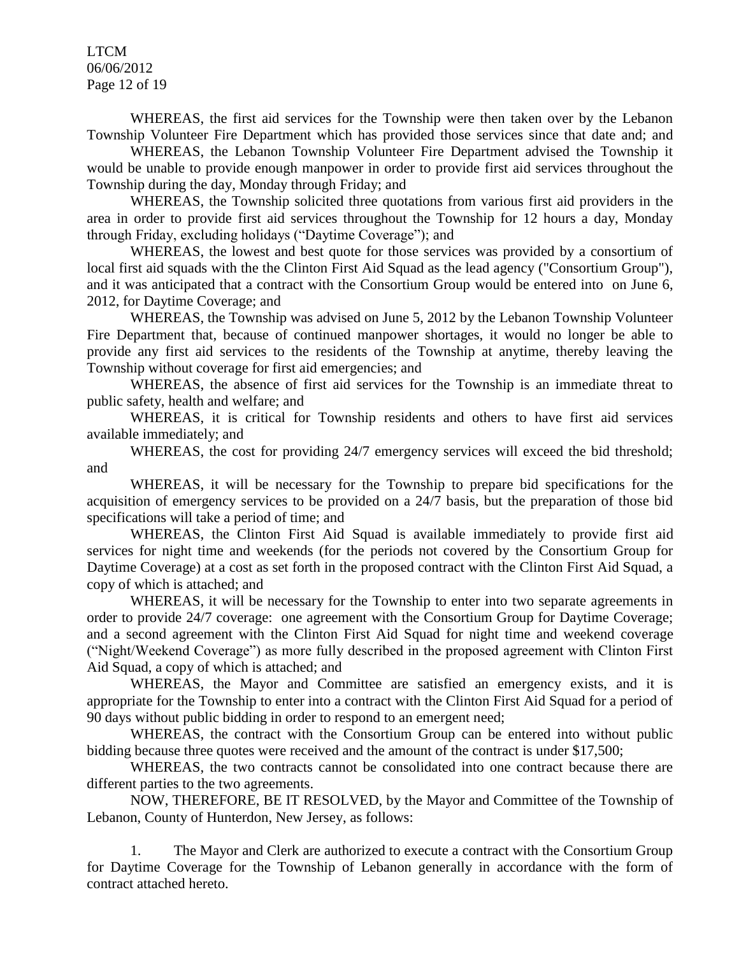LTCM 06/06/2012 Page 12 of 19

WHEREAS, the first aid services for the Township were then taken over by the Lebanon Township Volunteer Fire Department which has provided those services since that date and; and

WHEREAS, the Lebanon Township Volunteer Fire Department advised the Township it would be unable to provide enough manpower in order to provide first aid services throughout the Township during the day, Monday through Friday; and

WHEREAS, the Township solicited three quotations from various first aid providers in the area in order to provide first aid services throughout the Township for 12 hours a day, Monday through Friday, excluding holidays ("Daytime Coverage"); and

WHEREAS, the lowest and best quote for those services was provided by a consortium of local first aid squads with the the Clinton First Aid Squad as the lead agency ("Consortium Group"), and it was anticipated that a contract with the Consortium Group would be entered into on June 6, 2012, for Daytime Coverage; and

WHEREAS, the Township was advised on June 5, 2012 by the Lebanon Township Volunteer Fire Department that, because of continued manpower shortages, it would no longer be able to provide any first aid services to the residents of the Township at anytime, thereby leaving the Township without coverage for first aid emergencies; and

WHEREAS, the absence of first aid services for the Township is an immediate threat to public safety, health and welfare; and

WHEREAS, it is critical for Township residents and others to have first aid services available immediately; and

WHEREAS, the cost for providing 24/7 emergency services will exceed the bid threshold; and

WHEREAS, it will be necessary for the Township to prepare bid specifications for the acquisition of emergency services to be provided on a 24/7 basis, but the preparation of those bid specifications will take a period of time; and

WHEREAS, the Clinton First Aid Squad is available immediately to provide first aid services for night time and weekends (for the periods not covered by the Consortium Group for Daytime Coverage) at a cost as set forth in the proposed contract with the Clinton First Aid Squad, a copy of which is attached; and

WHEREAS, it will be necessary for the Township to enter into two separate agreements in order to provide 24/7 coverage: one agreement with the Consortium Group for Daytime Coverage; and a second agreement with the Clinton First Aid Squad for night time and weekend coverage ("Night/Weekend Coverage") as more fully described in the proposed agreement with Clinton First Aid Squad, a copy of which is attached; and

WHEREAS, the Mayor and Committee are satisfied an emergency exists, and it is appropriate for the Township to enter into a contract with the Clinton First Aid Squad for a period of 90 days without public bidding in order to respond to an emergent need;

WHEREAS, the contract with the Consortium Group can be entered into without public bidding because three quotes were received and the amount of the contract is under \$17,500;

WHEREAS, the two contracts cannot be consolidated into one contract because there are different parties to the two agreements.

NOW, THEREFORE, BE IT RESOLVED, by the Mayor and Committee of the Township of Lebanon, County of Hunterdon, New Jersey, as follows:

1. The Mayor and Clerk are authorized to execute a contract with the Consortium Group for Daytime Coverage for the Township of Lebanon generally in accordance with the form of contract attached hereto.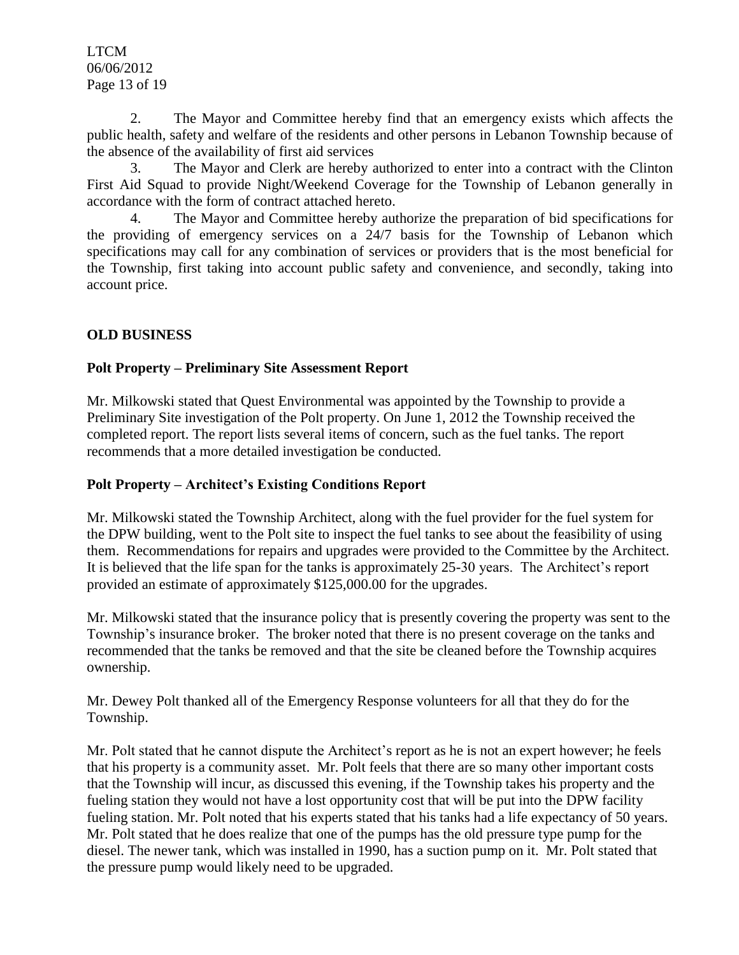LTCM 06/06/2012 Page 13 of 19

2. The Mayor and Committee hereby find that an emergency exists which affects the public health, safety and welfare of the residents and other persons in Lebanon Township because of the absence of the availability of first aid services

3. The Mayor and Clerk are hereby authorized to enter into a contract with the Clinton First Aid Squad to provide Night/Weekend Coverage for the Township of Lebanon generally in accordance with the form of contract attached hereto.

4. The Mayor and Committee hereby authorize the preparation of bid specifications for the providing of emergency services on a 24/7 basis for the Township of Lebanon which specifications may call for any combination of services or providers that is the most beneficial for the Township, first taking into account public safety and convenience, and secondly, taking into account price.

## **OLD BUSINESS**

## **Polt Property – Preliminary Site Assessment Report**

Mr. Milkowski stated that Quest Environmental was appointed by the Township to provide a Preliminary Site investigation of the Polt property. On June 1, 2012 the Township received the completed report. The report lists several items of concern, such as the fuel tanks. The report recommends that a more detailed investigation be conducted.

## **Polt Property – Architect's Existing Conditions Report**

Mr. Milkowski stated the Township Architect, along with the fuel provider for the fuel system for the DPW building, went to the Polt site to inspect the fuel tanks to see about the feasibility of using them. Recommendations for repairs and upgrades were provided to the Committee by the Architect. It is believed that the life span for the tanks is approximately 25-30 years. The Architect's report provided an estimate of approximately \$125,000.00 for the upgrades.

Mr. Milkowski stated that the insurance policy that is presently covering the property was sent to the Township's insurance broker. The broker noted that there is no present coverage on the tanks and recommended that the tanks be removed and that the site be cleaned before the Township acquires ownership.

Mr. Dewey Polt thanked all of the Emergency Response volunteers for all that they do for the Township.

Mr. Polt stated that he cannot dispute the Architect's report as he is not an expert however; he feels that his property is a community asset. Mr. Polt feels that there are so many other important costs that the Township will incur, as discussed this evening, if the Township takes his property and the fueling station they would not have a lost opportunity cost that will be put into the DPW facility fueling station. Mr. Polt noted that his experts stated that his tanks had a life expectancy of 50 years. Mr. Polt stated that he does realize that one of the pumps has the old pressure type pump for the diesel. The newer tank, which was installed in 1990, has a suction pump on it. Mr. Polt stated that the pressure pump would likely need to be upgraded.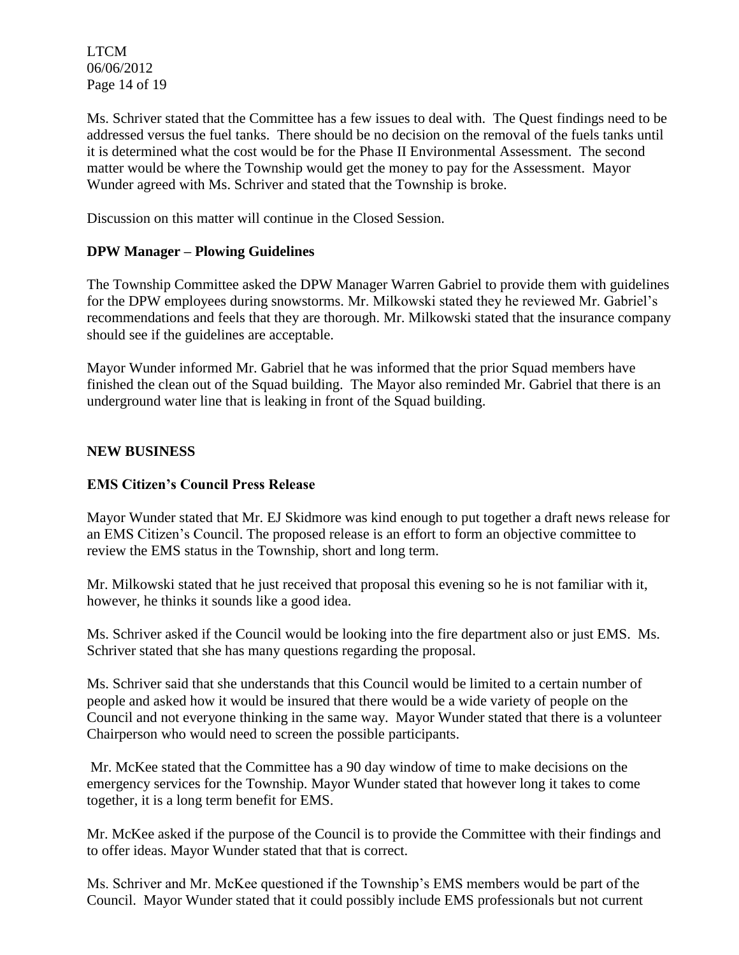LTCM 06/06/2012 Page 14 of 19

Ms. Schriver stated that the Committee has a few issues to deal with. The Quest findings need to be addressed versus the fuel tanks. There should be no decision on the removal of the fuels tanks until it is determined what the cost would be for the Phase II Environmental Assessment. The second matter would be where the Township would get the money to pay for the Assessment. Mayor Wunder agreed with Ms. Schriver and stated that the Township is broke.

Discussion on this matter will continue in the Closed Session.

## **DPW Manager – Plowing Guidelines**

The Township Committee asked the DPW Manager Warren Gabriel to provide them with guidelines for the DPW employees during snowstorms. Mr. Milkowski stated they he reviewed Mr. Gabriel's recommendations and feels that they are thorough. Mr. Milkowski stated that the insurance company should see if the guidelines are acceptable.

Mayor Wunder informed Mr. Gabriel that he was informed that the prior Squad members have finished the clean out of the Squad building. The Mayor also reminded Mr. Gabriel that there is an underground water line that is leaking in front of the Squad building.

### **NEW BUSINESS**

### **EMS Citizen's Council Press Release**

Mayor Wunder stated that Mr. EJ Skidmore was kind enough to put together a draft news release for an EMS Citizen's Council. The proposed release is an effort to form an objective committee to review the EMS status in the Township, short and long term.

Mr. Milkowski stated that he just received that proposal this evening so he is not familiar with it, however, he thinks it sounds like a good idea.

Ms. Schriver asked if the Council would be looking into the fire department also or just EMS. Ms. Schriver stated that she has many questions regarding the proposal.

Ms. Schriver said that she understands that this Council would be limited to a certain number of people and asked how it would be insured that there would be a wide variety of people on the Council and not everyone thinking in the same way. Mayor Wunder stated that there is a volunteer Chairperson who would need to screen the possible participants.

Mr. McKee stated that the Committee has a 90 day window of time to make decisions on the emergency services for the Township. Mayor Wunder stated that however long it takes to come together, it is a long term benefit for EMS.

Mr. McKee asked if the purpose of the Council is to provide the Committee with their findings and to offer ideas. Mayor Wunder stated that that is correct.

Ms. Schriver and Mr. McKee questioned if the Township's EMS members would be part of the Council. Mayor Wunder stated that it could possibly include EMS professionals but not current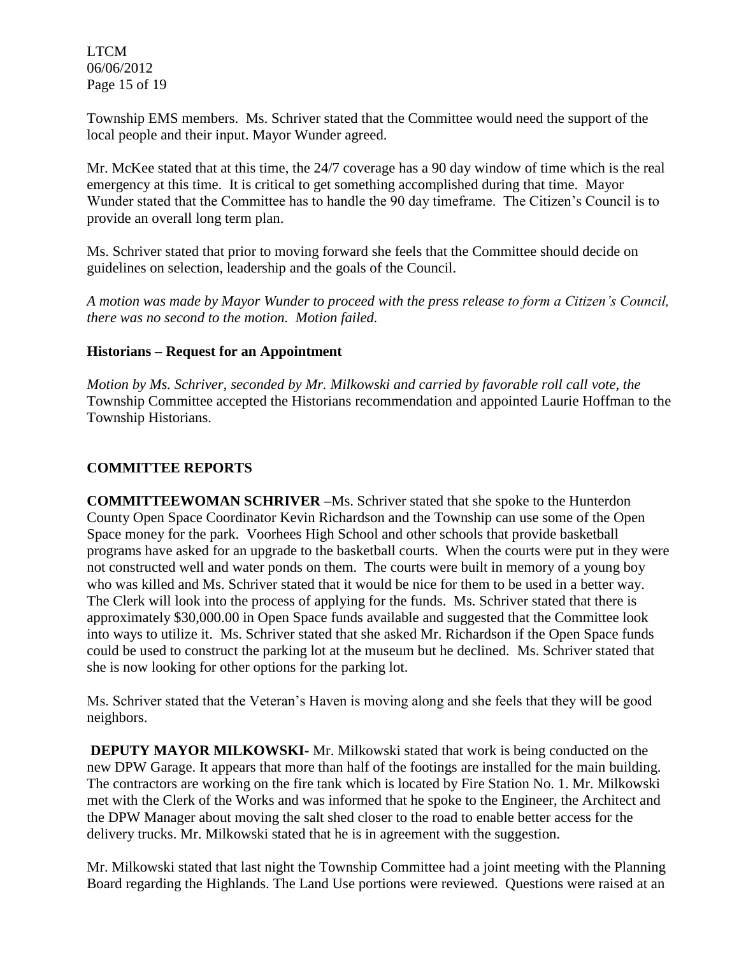LTCM 06/06/2012 Page 15 of 19

Township EMS members. Ms. Schriver stated that the Committee would need the support of the local people and their input. Mayor Wunder agreed.

Mr. McKee stated that at this time, the 24/7 coverage has a 90 day window of time which is the real emergency at this time. It is critical to get something accomplished during that time. Mayor Wunder stated that the Committee has to handle the 90 day timeframe. The Citizen's Council is to provide an overall long term plan.

Ms. Schriver stated that prior to moving forward she feels that the Committee should decide on guidelines on selection, leadership and the goals of the Council.

*A motion was made by Mayor Wunder to proceed with the press release to form a Citizen's Council, there was no second to the motion. Motion failed.* 

## **Historians – Request for an Appointment**

*Motion by Ms. Schriver, seconded by Mr. Milkowski and carried by favorable roll call vote, the* Township Committee accepted the Historians recommendation and appointed Laurie Hoffman to the Township Historians.

## **COMMITTEE REPORTS**

**COMMITTEEWOMAN SCHRIVER –**Ms. Schriver stated that she spoke to the Hunterdon County Open Space Coordinator Kevin Richardson and the Township can use some of the Open Space money for the park. Voorhees High School and other schools that provide basketball programs have asked for an upgrade to the basketball courts. When the courts were put in they were not constructed well and water ponds on them. The courts were built in memory of a young boy who was killed and Ms. Schriver stated that it would be nice for them to be used in a better way. The Clerk will look into the process of applying for the funds. Ms. Schriver stated that there is approximately \$30,000.00 in Open Space funds available and suggested that the Committee look into ways to utilize it. Ms. Schriver stated that she asked Mr. Richardson if the Open Space funds could be used to construct the parking lot at the museum but he declined. Ms. Schriver stated that she is now looking for other options for the parking lot.

Ms. Schriver stated that the Veteran's Haven is moving along and she feels that they will be good neighbors.

**DEPUTY MAYOR MILKOWSKI-** Mr. Milkowski stated that work is being conducted on the new DPW Garage. It appears that more than half of the footings are installed for the main building. The contractors are working on the fire tank which is located by Fire Station No. 1. Mr. Milkowski met with the Clerk of the Works and was informed that he spoke to the Engineer, the Architect and the DPW Manager about moving the salt shed closer to the road to enable better access for the delivery trucks. Mr. Milkowski stated that he is in agreement with the suggestion.

Mr. Milkowski stated that last night the Township Committee had a joint meeting with the Planning Board regarding the Highlands. The Land Use portions were reviewed. Questions were raised at an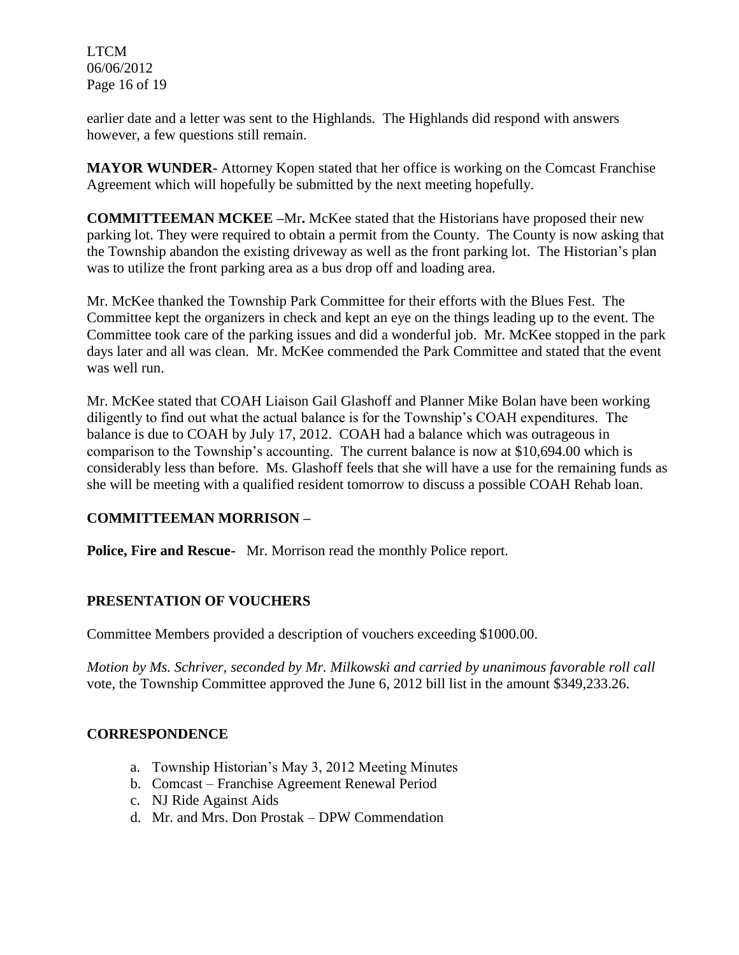LTCM 06/06/2012 Page 16 of 19

earlier date and a letter was sent to the Highlands. The Highlands did respond with answers however, a few questions still remain.

**MAYOR WUNDER-** Attorney Kopen stated that her office is working on the Comcast Franchise Agreement which will hopefully be submitted by the next meeting hopefully.

**COMMITTEEMAN MCKEE –**Mr**.** McKee stated that the Historians have proposed their new parking lot. They were required to obtain a permit from the County. The County is now asking that the Township abandon the existing driveway as well as the front parking lot. The Historian's plan was to utilize the front parking area as a bus drop off and loading area.

Mr. McKee thanked the Township Park Committee for their efforts with the Blues Fest. The Committee kept the organizers in check and kept an eye on the things leading up to the event. The Committee took care of the parking issues and did a wonderful job. Mr. McKee stopped in the park days later and all was clean. Mr. McKee commended the Park Committee and stated that the event was well run.

Mr. McKee stated that COAH Liaison Gail Glashoff and Planner Mike Bolan have been working diligently to find out what the actual balance is for the Township's COAH expenditures. The balance is due to COAH by July 17, 2012. COAH had a balance which was outrageous in comparison to the Township's accounting. The current balance is now at \$10,694.00 which is considerably less than before. Ms. Glashoff feels that she will have a use for the remaining funds as she will be meeting with a qualified resident tomorrow to discuss a possible COAH Rehab loan.

## **COMMITTEEMAN MORRISON –**

**Police, Fire and Rescue-** Mr. Morrison read the monthly Police report.

## **PRESENTATION OF VOUCHERS**

Committee Members provided a description of vouchers exceeding \$1000.00.

*Motion by Ms. Schriver, seconded by Mr. Milkowski and carried by unanimous favorable roll call*  vote*,* the Township Committee approved the June 6, 2012 bill list in the amount \$349,233.26.

## **CORRESPONDENCE**

- a. Township Historian's May 3, 2012 Meeting Minutes
- b. Comcast Franchise Agreement Renewal Period
- c. NJ Ride Against Aids
- d. Mr. and Mrs. Don Prostak DPW Commendation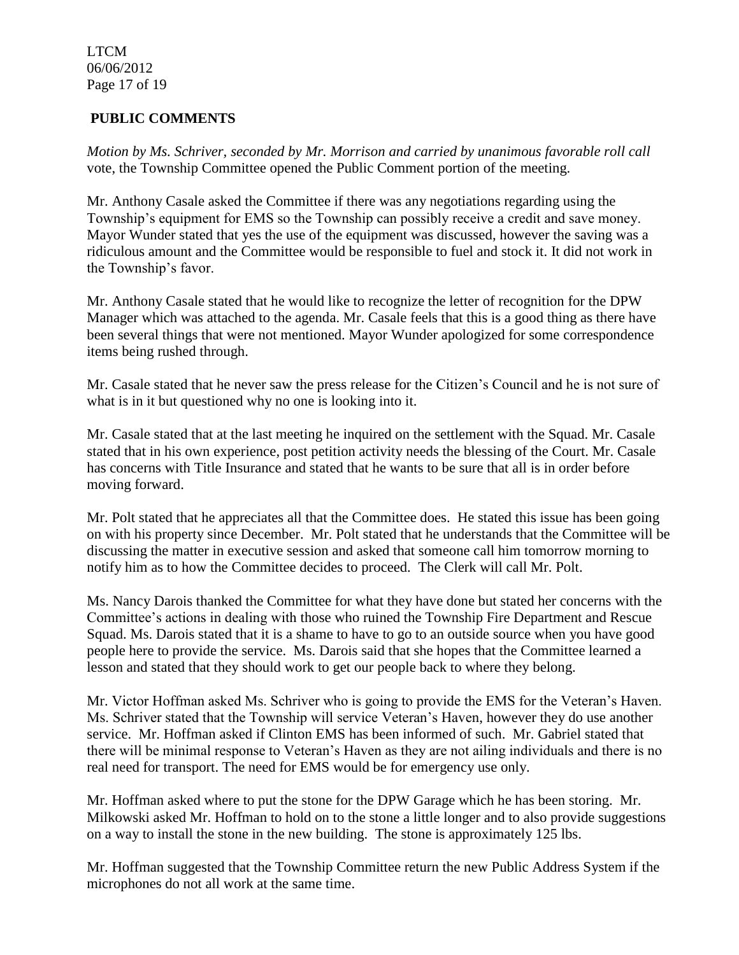LTCM 06/06/2012 Page 17 of 19

# **PUBLIC COMMENTS**

*Motion by Ms. Schriver, seconded by Mr. Morrison and carried by unanimous favorable roll call*  vote, the Township Committee opened the Public Comment portion of the meeting.

Mr. Anthony Casale asked the Committee if there was any negotiations regarding using the Township's equipment for EMS so the Township can possibly receive a credit and save money. Mayor Wunder stated that yes the use of the equipment was discussed, however the saving was a ridiculous amount and the Committee would be responsible to fuel and stock it. It did not work in the Township's favor.

Mr. Anthony Casale stated that he would like to recognize the letter of recognition for the DPW Manager which was attached to the agenda. Mr. Casale feels that this is a good thing as there have been several things that were not mentioned. Mayor Wunder apologized for some correspondence items being rushed through.

Mr. Casale stated that he never saw the press release for the Citizen's Council and he is not sure of what is in it but questioned why no one is looking into it.

Mr. Casale stated that at the last meeting he inquired on the settlement with the Squad. Mr. Casale stated that in his own experience, post petition activity needs the blessing of the Court. Mr. Casale has concerns with Title Insurance and stated that he wants to be sure that all is in order before moving forward.

Mr. Polt stated that he appreciates all that the Committee does. He stated this issue has been going on with his property since December. Mr. Polt stated that he understands that the Committee will be discussing the matter in executive session and asked that someone call him tomorrow morning to notify him as to how the Committee decides to proceed. The Clerk will call Mr. Polt.

Ms. Nancy Darois thanked the Committee for what they have done but stated her concerns with the Committee's actions in dealing with those who ruined the Township Fire Department and Rescue Squad. Ms. Darois stated that it is a shame to have to go to an outside source when you have good people here to provide the service. Ms. Darois said that she hopes that the Committee learned a lesson and stated that they should work to get our people back to where they belong.

Mr. Victor Hoffman asked Ms. Schriver who is going to provide the EMS for the Veteran's Haven. Ms. Schriver stated that the Township will service Veteran's Haven, however they do use another service. Mr. Hoffman asked if Clinton EMS has been informed of such. Mr. Gabriel stated that there will be minimal response to Veteran's Haven as they are not ailing individuals and there is no real need for transport. The need for EMS would be for emergency use only.

Mr. Hoffman asked where to put the stone for the DPW Garage which he has been storing. Mr. Milkowski asked Mr. Hoffman to hold on to the stone a little longer and to also provide suggestions on a way to install the stone in the new building. The stone is approximately 125 lbs.

Mr. Hoffman suggested that the Township Committee return the new Public Address System if the microphones do not all work at the same time.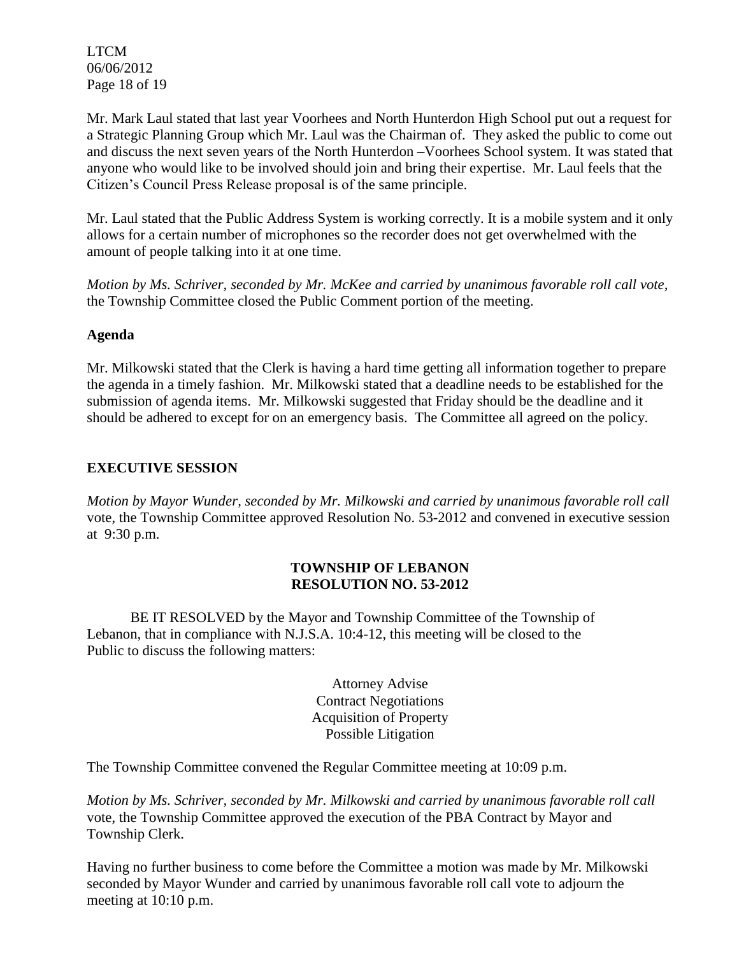LTCM 06/06/2012 Page 18 of 19

Mr. Mark Laul stated that last year Voorhees and North Hunterdon High School put out a request for a Strategic Planning Group which Mr. Laul was the Chairman of. They asked the public to come out and discuss the next seven years of the North Hunterdon –Voorhees School system. It was stated that anyone who would like to be involved should join and bring their expertise. Mr. Laul feels that the Citizen's Council Press Release proposal is of the same principle.

Mr. Laul stated that the Public Address System is working correctly. It is a mobile system and it only allows for a certain number of microphones so the recorder does not get overwhelmed with the amount of people talking into it at one time.

*Motion by Ms. Schriver, seconded by Mr. McKee and carried by unanimous favorable roll call vote,* the Township Committee closed the Public Comment portion of the meeting.

### **Agenda**

Mr. Milkowski stated that the Clerk is having a hard time getting all information together to prepare the agenda in a timely fashion. Mr. Milkowski stated that a deadline needs to be established for the submission of agenda items. Mr. Milkowski suggested that Friday should be the deadline and it should be adhered to except for on an emergency basis. The Committee all agreed on the policy.

## **EXECUTIVE SESSION**

*Motion by Mayor Wunder, seconded by Mr. Milkowski and carried by unanimous favorable roll call*  vote, the Township Committee approved Resolution No. 53-2012 and convened in executive session at 9:30 p.m.

## **TOWNSHIP OF LEBANON RESOLUTION NO. 53-2012**

BE IT RESOLVED by the Mayor and Township Committee of the Township of Lebanon, that in compliance with N.J.S.A. 10:4-12, this meeting will be closed to the Public to discuss the following matters:

> Attorney Advise Contract Negotiations Acquisition of Property Possible Litigation

The Township Committee convened the Regular Committee meeting at 10:09 p.m.

*Motion by Ms. Schriver, seconded by Mr. Milkowski and carried by unanimous favorable roll call*  vote, the Township Committee approved the execution of the PBA Contract by Mayor and Township Clerk.

Having no further business to come before the Committee a motion was made by Mr. Milkowski seconded by Mayor Wunder and carried by unanimous favorable roll call vote to adjourn the meeting at 10:10 p.m.